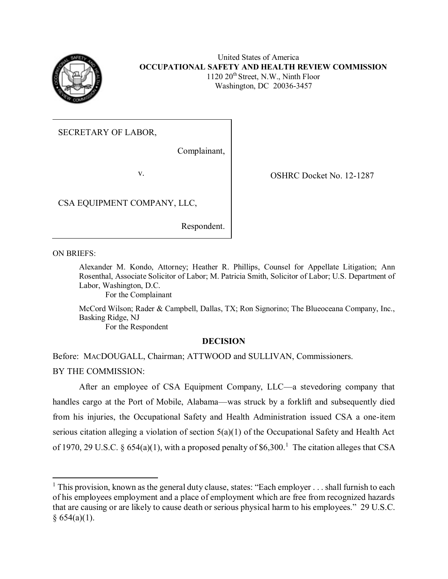

 United States of America  **OCCUPATIONAL SAFETY AND HEALTH REVIEW COMMISSION**  1120 20th Street, N.W., Ninth Floor Washington, DC 20036-3457

SECRETARY OF LABOR,

Complainant,

v. COSHRC Docket No. 12-1287

CSA EQUIPMENT COMPANY, LLC,

Respondent.

ON BRIEFS:

 $\overline{a}$ 

 Alexander M. Kondo, Attorney; Heather R. Phillips, Counsel for Appellate Litigation; Ann Rosenthal, Associate Solicitor of Labor; M. Patricia Smith, Solicitor of Labor; U.S. Department of Labor, Washington, D.C.

For the Complainant

 McCord Wilson; Rader & Campbell, Dallas, TX; Ron Signorino; The Blueoceana Company, Inc., Basking Ridge, NJ

For the Respondent

# **DECISION**

Before: MACDOUGALL, Chairman; ATTWOOD and SULLIVAN, Commissioners.

BY THE COMMISSION:

 After an employee of CSA Equipment Company, LLC—a stevedoring company that handles cargo at the Port of Mobile, Alabama—was struck by a forklift and subsequently died from his injuries, the Occupational Safety and Health Administration issued CSA a one-item serious citation alleging a violation of section 5(a)(1) of the Occupational Safety and Health Act of 1970, 29 U.S.C. § 654(a)(1), with a proposed penalty of \$6,300.<sup>1</sup> The citation alleges that CSA

<sup>&</sup>lt;sup>1</sup> This provision, known as the general duty clause, states: "Each employer . . . shall furnish to each of his employees employment and a place of employment which are free from recognized hazards that are causing or are likely to cause death or serious physical harm to his employees." 29 U.S.C.  $§ 654(a)(1).$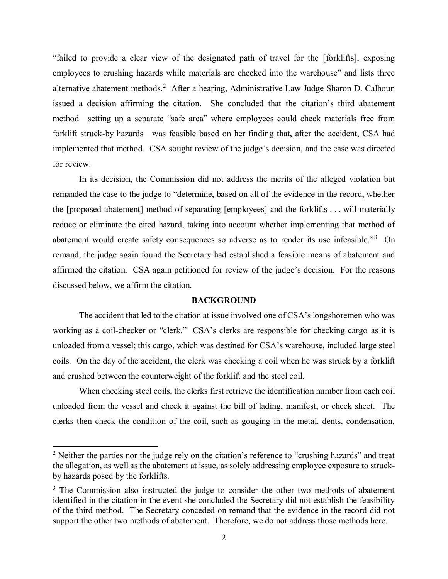"failed to provide a clear view of the designated path of travel for the [forklifts], exposing employees to crushing hazards while materials are checked into the warehouse" and lists three alternative abatement methods.<sup>2</sup> After a hearing, Administrative Law Judge Sharon D. Calhoun issued a decision affirming the citation. She concluded that the citation's third abatement method—setting up a separate "safe area" where employees could check materials free from forklift struck-by hazards—was feasible based on her finding that, after the accident, CSA had implemented that method. CSA sought review of the judge's decision, and the case was directed for review.

 In its decision, the Commission did not address the merits of the alleged violation but remanded the case to the judge to "determine, based on all of the evidence in the record, whether the [proposed abatement] method of separating [employees] and the forklifts . . . will materially reduce or eliminate the cited hazard, taking into account whether implementing that method of abatement would create safety consequences so adverse as to render its use infeasible."<sup>3</sup> On remand, the judge again found the Secretary had established a feasible means of abatement and affirmed the citation. CSA again petitioned for review of the judge's decision. For the reasons discussed below, we affirm the citation.

#### **BACKGROUND**

 The accident that led to the citation at issue involved one of CSA's longshoremen who was working as a coil-checker or "clerk." CSA's clerks are responsible for checking cargo as it is unloaded from a vessel; this cargo, which was destined for CSA's warehouse, included large steel coils. On the day of the accident, the clerk was checking a coil when he was struck by a forklift and crushed between the counterweight of the forklift and the steel coil.

 When checking steel coils, the clerks first retrieve the identification number from each coil unloaded from the vessel and check it against the bill of lading, manifest, or check sheet. The clerks then check the condition of the coil, such as gouging in the metal, dents, condensation,

 $2$  Neither the parties nor the judge rely on the citation's reference to "crushing hazards" and treat the allegation, as well as the abatement at issue, as solely addressing employee exposure to struck-by hazards posed by the forklifts.

 $3$  The Commission also instructed the judge to consider the other two methods of abatement identified in the citation in the event she concluded the Secretary did not establish the feasibility of the third method. The Secretary conceded on remand that the evidence in the record did not support the other two methods of abatement. Therefore, we do not address those methods here.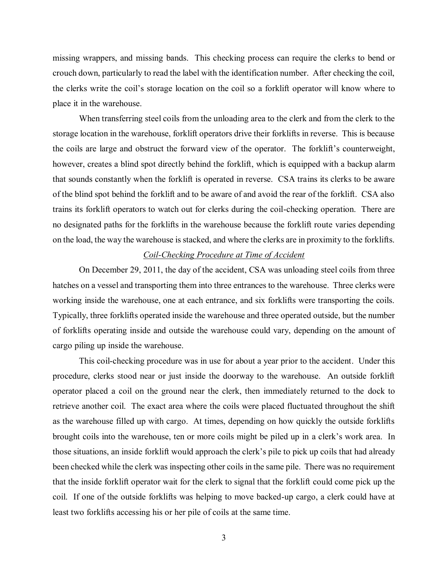missing wrappers, and missing bands. This checking process can require the clerks to bend or crouch down, particularly to read the label with the identification number. After checking the coil, the clerks write the coil's storage location on the coil so a forklift operator will know where to place it in the warehouse.

 When transferring steel coils from the unloading area to the clerk and from the clerk to the storage location in the warehouse, forklift operators drive their forklifts in reverse. This is because the coils are large and obstruct the forward view of the operator. The forklift's counterweight, however, creates a blind spot directly behind the forklift, which is equipped with a backup alarm that sounds constantly when the forklift is operated in reverse. CSA trains its clerks to be aware of the blind spot behind the forklift and to be aware of and avoid the rear of the forklift. CSA also trains its forklift operators to watch out for clerks during the coil-checking operation. There are no designated paths for the forklifts in the warehouse because the forklift route varies depending on the load, the way the warehouse is stacked, and where the clerks are in proximity to the forklifts.

# *Coil-Checking Procedure at Time of Accident*

 On December 29, 2011, the day of the accident, CSA was unloading steel coils from three hatches on a vessel and transporting them into three entrances to the warehouse. Three clerks were working inside the warehouse, one at each entrance, and six forklifts were transporting the coils. Typically, three forklifts operated inside the warehouse and three operated outside, but the number of forklifts operating inside and outside the warehouse could vary, depending on the amount of cargo piling up inside the warehouse.

 This coil-checking procedure was in use for about a year prior to the accident. Under this procedure, clerks stood near or just inside the doorway to the warehouse. An outside forklift operator placed a coil on the ground near the clerk, then immediately returned to the dock to retrieve another coil. The exact area where the coils were placed fluctuated throughout the shift as the warehouse filled up with cargo. At times, depending on how quickly the outside forklifts brought coils into the warehouse, ten or more coils might be piled up in a clerk's work area. In those situations, an inside forklift would approach the clerk's pile to pick up coils that had already been checked while the clerk was inspecting other coils in the same pile. There was no requirement that the inside forklift operator wait for the clerk to signal that the forklift could come pick up the coil. If one of the outside forklifts was helping to move backed-up cargo, a clerk could have at least two forklifts accessing his or her pile of coils at the same time.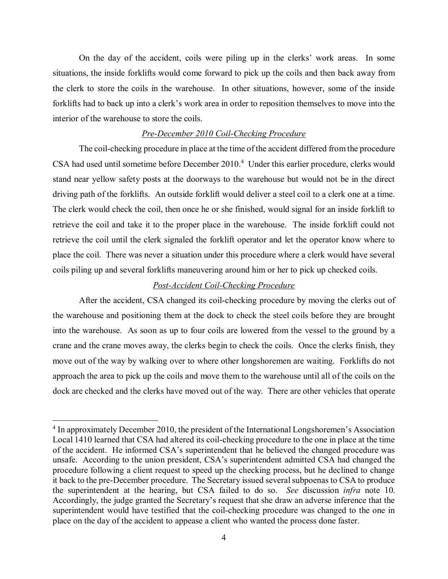On the day of the accident, coils were piling up in the clerks' work areas. In some situations, the inside forklifts would come forward to pick up the coils and then back away from the clerk to store the coils in the warehouse. In other situations, however, some of the inside forklifts had to back up into a clerk's work area in order to reposition themselves to move into the interior of the warehouse to store the coils.

## *Pre-December 2010 Coil-Checking Procedure*

 The coil-checking procedure in place at the time of the accident differed from the procedure CSA had used until sometime before December 2010.<sup>4</sup> Under this earlier procedure, clerks would stand near yellow safety posts at the doorways to the warehouse but would not be in the direct driving path of the forklifts. An outside forklift would deliver a steel coil to a clerk one at a time. The clerk would check the coil, then once he or she finished, would signal for an inside forklift to retrieve the coil and take it to the proper place in the warehouse. The inside forklift could not retrieve the coil until the clerk signaled the forklift operator and let the operator know where to place the coil. There was never a situation under this procedure where a clerk would have several coils piling up and several forklifts maneuvering around him or her to pick up checked coils.

# *Post-Accident Coil-Checking Procedure*

 After the accident, CSA changed its coil-checking procedure by moving the clerks out of the warehouse and positioning them at the dock to check the steel coils before they are brought into the warehouse. As soon as up to four coils are lowered from the vessel to the ground by a crane and the crane moves away, the clerks begin to check the coils. Once the clerks finish, they move out of the way by walking over to where other longshoremen are waiting. Forklifts do not approach the area to pick up the coils and move them to the warehouse until all of the coils on the dock are checked and the clerks have moved out of the way. There are other vehicles that operate

<sup>&</sup>lt;sup>4</sup> In approximately December 2010, the president of the International Longshoremen's Association Local 1410 learned that CSA had altered its coil-checking procedure to the one in place at the time of the accident. He informed CSA's superintendent that he believed the changed procedure was unsafe. According to the union president, CSA's superintendent admitted CSA had changed the procedure following a client request to speed up the checking process, but he declined to change it back to the pre-December procedure. The Secretary issued several subpoenas to CSA to produce the superintendent at the hearing, but CSA failed to do so. *See* discussion *infra* note [10.](#page-8-0) Accordingly, the judge granted the Secretary's request that she draw an adverse inference that the superintendent would have testified that the coil-checking procedure was changed to the one in place on the day of the accident to appease a client who wanted the process done faster.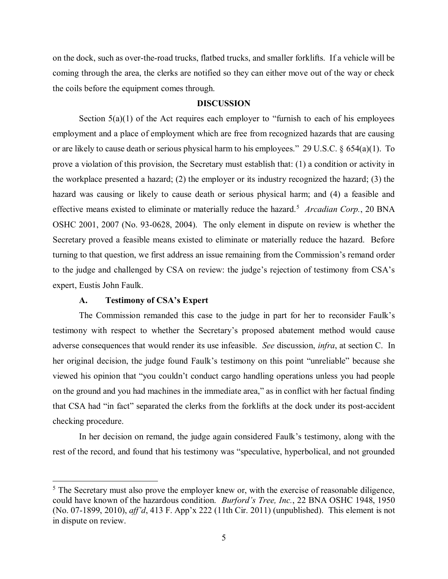on the dock, such as over-the-road trucks, flatbed trucks, and smaller forklifts. If a vehicle will be coming through the area, the clerks are notified so they can either move out of the way or check the coils before the equipment comes through.

#### **DISCUSSION**

Section 5(a)(1) of the Act requires each employer to "furnish to each of his employees employment and a place of employment which are free from recognized hazards that are causing or are likely to cause death or serious physical harm to his employees." 29 U.S.C. § 654(a)(1). To prove a violation of this provision, the Secretary must establish that: (1) a condition or activity in the workplace presented a hazard; (2) the employer or its industry recognized the hazard; (3) the hazard was causing or likely to cause death or serious physical harm; and (4) a feasible and effective means existed to eliminate or materially reduce the hazard.<sup>5</sup> Arcadian Corp., 20 BNA OSHC 2001, 2007 (No. 93-0628, 2004). The only element in dispute on review is whether the Secretary proved a feasible means existed to eliminate or materially reduce the hazard. Before turning to that question, we first address an issue remaining from the Commission's remand order to the judge and challenged by CSA on review: the judge's rejection of testimony from CSA's expert, Eustis John Faulk.

## **A. Testimony of CSA's Expert**

 $\overline{a}$ 

 The Commission remanded this case to the judge in part for her to reconsider Faulk's testimony with respect to whether the Secretary's proposed abatement method would cause adverse consequences that would render its use infeasible. *See* discussion, *infra*, at section C. In her original decision, the judge found Faulk's testimony on this point "unreliable" because she viewed his opinion that "you couldn't conduct cargo handling operations unless you had people on the ground and you had machines in the immediate area," as in conflict with her factual finding that CSA had "in fact" separated the clerks from the forklifts at the dock under its post-accident checking procedure.

 In her decision on remand, the judge again considered Faulk's testimony, along with the rest of the record, and found that his testimony was "speculative, hyperbolical, and not grounded

 $<sup>5</sup>$  The Secretary must also prove the employer knew or, with the exercise of reasonable diligence,</sup> could have known of the hazardous condition. *Burford's Tree, Inc.*, 22 BNA OSHC 1948, 1950 (No. 07-1899, 2010), *aff'd*, 413 F. App'x 222 (11th Cir. 2011) (unpublished). This element is not in dispute on review.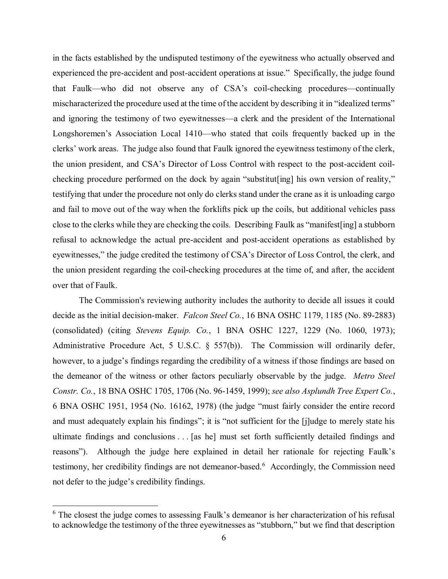in the facts established by the undisputed testimony of the eyewitness who actually observed and experienced the pre-accident and post-accident operations at issue." Specifically, the judge found that Faulk—who did not observe any of CSA's coil-checking procedures—continually mischaracterized the procedure used at the time of the accident by describing it in "idealized terms" and ignoring the testimony of two eyewitnesses—a clerk and the president of the International Longshoremen's Association Local 1410—who stated that coils frequently backed up in the clerks' work areas. The judge also found that Faulk ignored the eyewitness testimony of the clerk, the union president, and CSA's Director of Loss Control with respect to the post-accident coil- checking procedure performed on the dock by again "substitut[ing] his own version of reality," testifying that under the procedure not only do clerks stand under the crane as it is unloading cargo and fail to move out of the way when the forklifts pick up the coils, but additional vehicles pass close to the clerks while they are checking the coils. Describing Faulk as "manifest[ing] a stubborn refusal to acknowledge the actual pre-accident and post-accident operations as established by eyewitnesses," the judge credited the testimony of CSA's Director of Loss Control, the clerk, and the union president regarding the coil-checking procedures at the time of, and after, the accident over that of Faulk.

 The Commission's reviewing authority includes the authority to decide all issues it could decide as the initial decision-maker. *Falcon Steel Co.*, 16 BNA OSHC 1179, 1185 (No. 89-2883)  (consolidated) (citing *Stevens Equip. Co.*, 1 BNA OSHC 1227, 1229 (No. 1060, 1973); Administrative Procedure Act, 5 U.S.C. § 557(b)). The Commission will ordinarily defer, however, to a judge's findings regarding the credibility of a witness if those findings are based on the demeanor of the witness or other factors peculiarly observable by the judge. *Metro Steel Constr. Co.*, 18 BNA OSHC 1705, 1706 (No. 96-1459, 1999); *see also Asplundh Tree Expert Co.*, 6 BNA OSHC 1951, 1954 (No. 16162, 1978) (the judge "must fairly consider the entire record and must adequately explain his findings"; it is "not sufficient for the [j]udge to merely state his ultimate findings and conclusions . . . [as he] must set forth sufficiently detailed findings and reasons"). Although the judge here explained in detail her rationale for rejecting Faulk's testimony, her credibility findings are not demeanor-based.<sup>6</sup> Accordingly, the Commission need not defer to the judge's credibility findings.

 $6$  The closest the judge comes to assessing Faulk's demeanor is her characterization of his refusal to acknowledge the testimony of the three eyewitnesses as "stubborn," but we find that description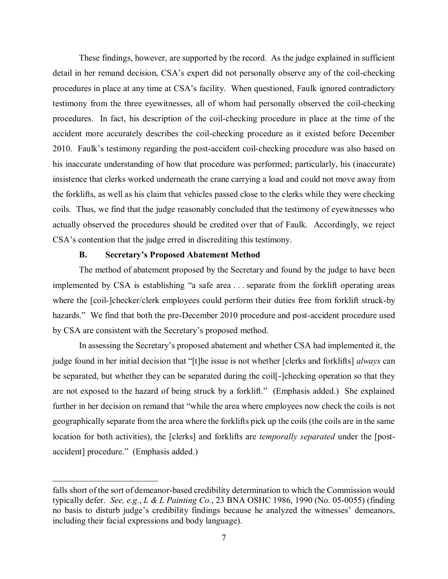These findings, however, are supported by the record. As the judge explained in sufficient detail in her remand decision, CSA's expert did not personally observe any of the coil-checking procedures in place at any time at CSA's facility. When questioned, Faulk ignored contradictory testimony from the three eyewitnesses, all of whom had personally observed the coil-checking procedures. In fact, his description of the coil-checking procedure in place at the time of the accident more accurately describes the coil-checking procedure as it existed before December 2010. Faulk's testimony regarding the post-accident coil-checking procedure was also based on his inaccurate understanding of how that procedure was performed; particularly, his (inaccurate) insistence that clerks worked underneath the crane carrying a load and could not move away from the forklifts, as well as his claim that vehicles passed close to the clerks while they were checking coils. Thus, we find that the judge reasonably concluded that the testimony of eyewitnesses who actually observed the procedures should be credited over that of Faulk. Accordingly, we reject CSA's contention that the judge erred in discrediting this testimony.

# **B. Secretary's Proposed Abatement Method**

 $\overline{a}$ 

 The method of abatement proposed by the Secretary and found by the judge to have been implemented by CSA is establishing "a safe area . . . separate from the forklift operating areas where the [coil-]checker/clerk employees could perform their duties free from forklift struck-by hazards." We find that both the pre-December 2010 procedure and post-accident procedure used by CSA are consistent with the Secretary's proposed method.

 In assessing the Secretary's proposed abatement and whether CSA had implemented it, the judge found in her initial decision that "[t]he issue is not whether [clerks and forklifts] *always* can be separated, but whether they can be separated during the coil[-]checking operation so that they are not exposed to the hazard of being struck by a forklift." (Emphasis added.) She explained further in her decision on remand that "while the area where employees now check the coils is not geographically separate from the area where the forklifts pick up the coils (the coils are in the same location for both activities), the [clerks] and forklifts are *temporally separated* under the [post-accident] procedure." (Emphasis added.)

 falls short of the sort of demeanor-based credibility determination to which the Commission would typically defer. *See, e.g.*, *L & L Painting Co.*, 23 BNA OSHC 1986, 1990 (No. 05-0055) (finding no basis to disturb judge's credibility findings because he analyzed the witnesses' demeanors, including their facial expressions and body language).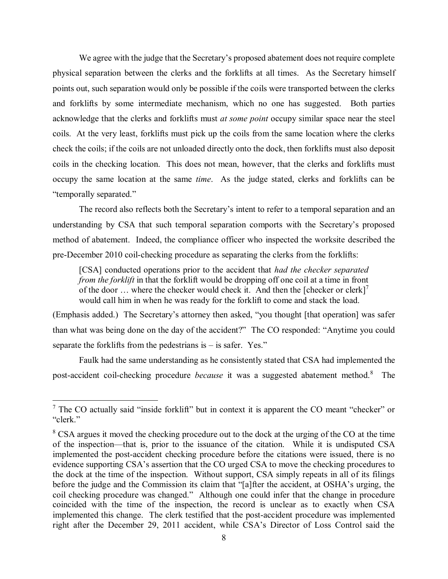We agree with the judge that the Secretary's proposed abatement does not require complete physical separation between the clerks and the forklifts at all times. As the Secretary himself points out, such separation would only be possible if the coils were transported between the clerks and forklifts by some intermediate mechanism, which no one has suggested. Both parties acknowledge that the clerks and forklifts must *at some point* occupy similar space near the steel coils. At the very least, forklifts must pick up the coils from the same location where the clerks check the coils; if the coils are not unloaded directly onto the dock, then forklifts must also deposit coils in the checking location. This does not mean, however, that the clerks and forklifts must occupy the same location at the same *time*. As the judge stated, clerks and forklifts can be "temporally separated."

 The record also reflects both the Secretary's intent to refer to a temporal separation and an understanding by CSA that such temporal separation comports with the Secretary's proposed method of abatement. Indeed, the compliance officer who inspected the worksite described the pre-December 2010 coil-checking procedure as separating the clerks from the forklifts:

 [CSA] conducted operations prior to the accident that *had the checker separated from the forklift* in that the forklift would be dropping off one coil at a time in front of the door  $\ldots$  where the checker would check it. And then the [checker or clerk]<sup>7</sup> would call him in when he was ready for the forklift to come and stack the load.

 (Emphasis added.) The Secretary's attorney then asked, "you thought [that operation] was safer than what was being done on the day of the accident?" The CO responded: "Anytime you could separate the forklifts from the pedestrians is – is safer. Yes."

 Faulk had the same understanding as he consistently stated that CSA had implemented the post-accident coil-checking procedure *because* it was a suggested abatement method.8 The

 $<sup>7</sup>$  The CO actually said "inside forklift" but in context it is apparent the CO meant "checker" or</sup> "clerk."

 $8$  CSA argues it moved the checking procedure out to the dock at the urging of the CO at the time of the inspection—that is, prior to the issuance of the citation. While it is undisputed CSA implemented the post-accident checking procedure before the citations were issued, there is no evidence supporting CSA's assertion that the CO urged CSA to move the checking procedures to the dock at the time of the inspection. Without support, CSA simply repeats in all of its filings before the judge and the Commission its claim that "[a]fter the accident, at OSHA's urging, the coil checking procedure was changed." Although one could infer that the change in procedure coincided with the time of the inspection, the record is unclear as to exactly when CSA implemented this change. The clerk testified that the post-accident procedure was implemented right after the December 29, 2011 accident, while CSA's Director of Loss Control said the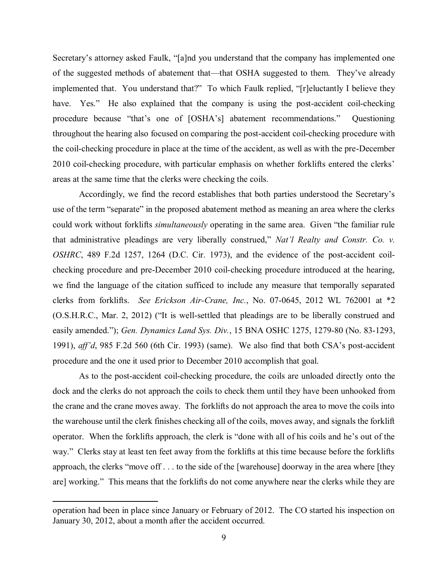<span id="page-8-0"></span> Secretary's attorney asked Faulk, "[a]nd you understand that the company has implemented one of the suggested methods of abatement that—that OSHA suggested to them. They've already implemented that. You understand that?" To which Faulk replied, "[r]eluctantly I believe they have. Yes." He also explained that the company is using the post-accident coil-checking procedure because "that's one of [OSHA's] abatement recommendations." Questioning throughout the hearing also focused on comparing the post-accident coil-checking procedure with the coil-checking procedure in place at the time of the accident, as well as with the pre-December 2010 coil-checking procedure, with particular emphasis on whether forklifts entered the clerks' areas at the same time that the clerks were checking the coils.

 Accordingly, we find the record establishes that both parties understood the Secretary's use of the term "separate" in the proposed abatement method as meaning an area where the clerks could work without forklifts *simultaneously* operating in the same area. Given "the familiar rule that administrative pleadings are very liberally construed," *Nat'l Realty and Constr. Co. v. OSHRC*, 489 F.2d 1257, 1264 (D.C. Cir. 1973), and the evidence of the post-accident coil- checking procedure and pre-December 2010 coil-checking procedure introduced at the hearing, we find the language of the citation sufficed to include any measure that temporally separated clerks from forklifts. *See Erickson Air-Crane, Inc.*, No. 07-0645, 2012 WL 762001 at \*2 (O.S.H.R.C., Mar. 2, 2012) ("It is well-settled that pleadings are to be liberally construed and easily amended."); *Gen. Dynamics Land Sys. Div.*, 15 BNA OSHC 1275, 1279-80 (No. 83-1293, 1991), *aff'd*, 985 F.2d 560 (6th Cir. 1993) (same). We also find that both CSA's post-accident procedure and the one it used prior to December 2010 accomplish that goal.

 As to the post-accident coil-checking procedure, the coils are unloaded directly onto the dock and the clerks do not approach the coils to check them until they have been unhooked from the crane and the crane moves away. The forklifts do not approach the area to move the coils into the warehouse until the clerk finishes checking all of the coils, moves away, and signals the forklift operator. When the forklifts approach, the clerk is "done with all of his coils and he's out of the way." Clerks stay at least ten feet away from the forklifts at this time because before the forklifts approach, the clerks "move off . . . to the side of the [warehouse] doorway in the area where [they are] working." This means that the forklifts do not come anywhere near the clerks while they are

 operation had been in place since January or February of 2012. The CO started his inspection on January 30, 2012, about a month after the accident occurred.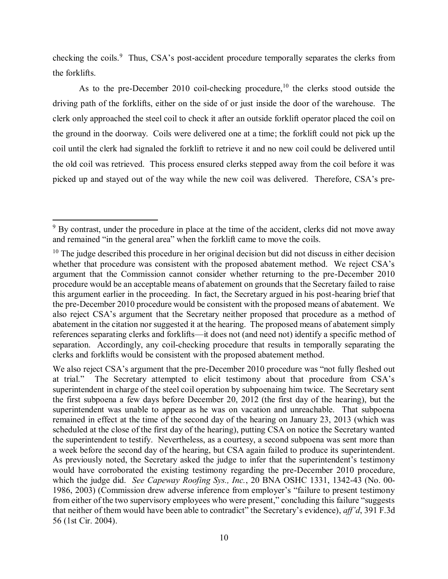checking the coils.<sup>9</sup> Thus, CSA's post-accident procedure temporally separates the clerks from the forklifts.

As to the pre-December 2010 coil-checking procedure,<sup>10</sup> the clerks stood outside the driving path of the forklifts, either on the side of or just inside the door of the warehouse. The clerk only approached the steel coil to check it after an outside forklift operator placed the coil on the ground in the doorway. Coils were delivered one at a time; the forklift could not pick up the coil until the clerk had signaled the forklift to retrieve it and no new coil could be delivered until the old coil was retrieved. This process ensured clerks stepped away from the coil before it was picked up and stayed out of the way while the new coil was delivered. Therefore, CSA's pre-

 $9^9$  By contrast, under the procedure in place at the time of the accident, clerks did not move away and remained "in the general area" when the forklift came to move the coils.

 $10$  The judge described this procedure in her original decision but did not discuss in either decision whether that procedure was consistent with the proposed abatement method. We reject CSA's argument that the Commission cannot consider whether returning to the pre-December 2010 procedure would be an acceptable means of abatement on grounds that the Secretary failed to raise this argument earlier in the proceeding. In fact, the Secretary argued in his post-hearing brief that the pre-December 2010 procedure would be consistent with the proposed means of abatement. We also reject CSA's argument that the Secretary neither proposed that procedure as a method of abatement in the citation nor suggested it at the hearing. The proposed means of abatement simply references separating clerks and forklifts—it does not (and need not) identify a specific method of separation. Accordingly, any coil-checking procedure that results in temporally separating the clerks and forklifts would be consistent with the proposed abatement method.

 We also reject CSA's argument that the pre-December 2010 procedure was "not fully fleshed out at trial." The Secretary attempted to elicit testimony about that procedure from CSA's superintendent in charge of the steel coil operation by subpoenaing him twice. The Secretary sent the first subpoena a few days before December 20, 2012 (the first day of the hearing), but the superintendent was unable to appear as he was on vacation and unreachable. That subpoena remained in effect at the time of the second day of the hearing on January 23, 2013 (which was scheduled at the close of the first day of the hearing), putting CSA on notice the Secretary wanted the superintendent to testify. Nevertheless, as a courtesy, a second subpoena was sent more than a week before the second day of the hearing, but CSA again failed to produce its superintendent. As previously noted, the Secretary asked the judge to infer that the superintendent's testimony which the judge did. *See Capeway Roofing Sys., Inc.*, 20 BNA OSHC 1331, 1342-43 (No. 00- 1986, 2003) (Commission drew adverse inference from employer's "failure to present testimony from either of the two supervisory employees who were present," concluding this failure "suggests that neither of them would have been able to contradict" the Secretary's evidence), *aff'd*, 391 F.3d would have corroborated the existing testimony regarding the pre-December 2010 procedure, 56 (1st Cir. 2004).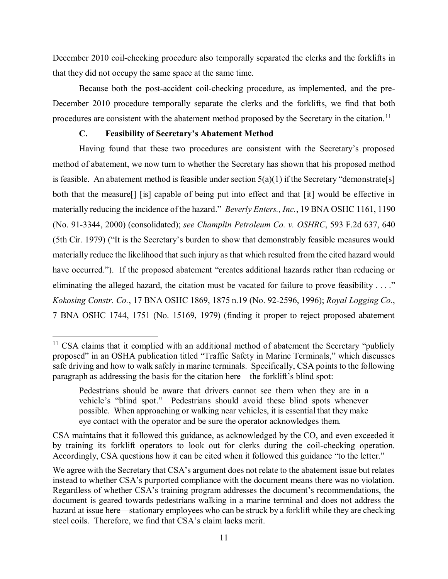that they did not occupy the same space at the same time. December 2010 coil-checking procedure also temporally separated the clerks and the forklifts in

 Because both the post-accident coil-checking procedure, as implemented, and the pre- December 2010 procedure temporally separate the clerks and the forklifts, we find that both procedures are consistent with the abatement method proposed by the Secretary in the citation.<sup>11</sup>

# **C. Feasibility of Secretary's Abatement Method**

 $\overline{a}$ 

 Having found that these two procedures are consistent with the Secretary's proposed method of abatement, we now turn to whether the Secretary has shown that his proposed method is feasible. An abatement method is feasible under section  $5(a)(1)$  if the Secretary "demonstrate[s] both that the measure[] [is] capable of being put into effect and that [it] would be effective in materially reducing the incidence of the hazard." *Beverly Enters., Inc.*, 19 BNA OSHC 1161, 1190 (No. 91-3344, 2000) (consolidated); *see Champlin Petroleum Co. v. OSHRC*, 593 F.2d 637, 640 (5th Cir. 1979) ("It is the Secretary's burden to show that demonstrably feasible measures would materially reduce the likelihood that such injury as that which resulted from the cited hazard would have occurred."). If the proposed abatement "creates additional hazards rather than reducing or eliminating the alleged hazard, the citation must be vacated for failure to prove feasibility . . . ." *Kokosing Constr. Co.*, 17 BNA OSHC 1869, 1875 n.19 (No. 92-2596, 1996); *Royal Logging Co.*, 7 BNA OSHC 1744, 1751 (No. 15169, 1979) (finding it proper to reject proposed abatement

 $11$  CSA claims that it complied with an additional method of abatement the Secretary "publicly proposed" in an OSHA publication titled "Traffic Safety in Marine Terminals," which discusses safe driving and how to walk safely in marine terminals. Specifically, CSA points to the following paragraph as addressing the basis for the citation here—the forklift's blind spot:

 Pedestrians should be aware that drivers cannot see them when they are in a vehicle's "blind spot." Pedestrians should avoid these blind spots whenever possible. When approaching or walking near vehicles, it is essential that they make eye contact with the operator and be sure the operator acknowledges them.

 CSA maintains that it followed this guidance, as acknowledged by the CO, and even exceeded it by training its forklift operators to look out for clerks during the coil-checking operation. Accordingly, CSA questions how it can be cited when it followed this guidance "to the letter."

 We agree with the Secretary that CSA's argument does not relate to the abatement issue but relates instead to whether CSA's purported compliance with the document means there was no violation. Regardless of whether CSA's training program addresses the document's recommendations, the document is geared towards pedestrians walking in a marine terminal and does not address the hazard at issue here—stationary employees who can be struck by a forklift while they are checking steel coils. Therefore, we find that CSA's claim lacks merit.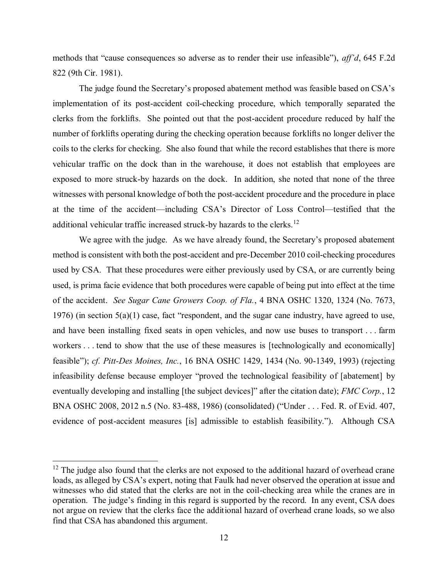methods that "cause consequences so adverse as to render their use infeasible"), *aff'd*, 645 F.2d 822 (9th Cir. 1981).

 The judge found the Secretary's proposed abatement method was feasible based on CSA's implementation of its post-accident coil-checking procedure, which temporally separated the clerks from the forklifts. She pointed out that the post-accident procedure reduced by half the number of forklifts operating during the checking operation because forklifts no longer deliver the coils to the clerks for checking. She also found that while the record establishes that there is more vehicular traffic on the dock than in the warehouse, it does not establish that employees are exposed to more struck-by hazards on the dock. In addition, she noted that none of the three witnesses with personal knowledge of both the post-accident procedure and the procedure in place at the time of the accident—including CSA's Director of Loss Control—testified that the additional vehicular traffic increased struck-by hazards to the clerks.<sup>12</sup>

 We agree with the judge. As we have already found, the Secretary's proposed abatement method is consistent with both the post-accident and pre-December 2010 coil-checking procedures used by CSA. That these procedures were either previously used by CSA, or are currently being used, is prima facie evidence that both procedures were capable of being put into effect at the time of the accident. *See Sugar Cane Growers Coop. of Fla.*, 4 BNA OSHC 1320, 1324 (No. 7673, 1976) (in section  $5(a)(1)$  case, fact "respondent, and the sugar cane industry, have agreed to use, and have been installing fixed seats in open vehicles, and now use buses to transport . . . farm workers . . . tend to show that the use of these measures is [technologically and economically]  feasible"); *cf. Pitt-Des Moines, Inc.*, 16 BNA OSHC 1429, 1434 (No. 90-1349, 1993) (rejecting infeasibility defense because employer "proved the technological feasibility of [abatement] by eventually developing and installing [the subject devices]" after the citation date); *FMC Corp.*, 12 BNA OSHC 2008, 2012 n.5 (No. 83-488, 1986) (consolidated) ("Under . . . Fed. R. of Evid. 407, evidence of post-accident measures [is] admissible to establish feasibility."). Although CSA

 $12$  The judge also found that the clerks are not exposed to the additional hazard of overhead crane loads, as alleged by CSA's expert, noting that Faulk had never observed the operation at issue and witnesses who did stated that the clerks are not in the coil-checking area while the cranes are in operation. The judge's finding in this regard is supported by the record. In any event, CSA does not argue on review that the clerks face the additional hazard of overhead crane loads, so we also find that CSA has abandoned this argument.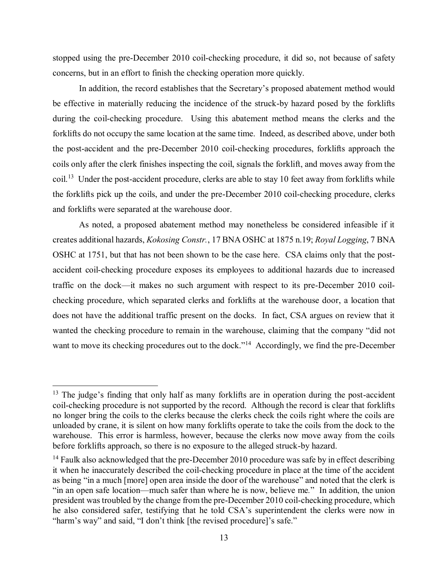stopped using the pre-December 2010 coil-checking procedure, it did so, not because of safety concerns, but in an effort to finish the checking operation more quickly.

 In addition, the record establishes that the Secretary's proposed abatement method would be effective in materially reducing the incidence of the struck-by hazard posed by the forklifts during the coil-checking procedure. Using this abatement method means the clerks and the forklifts do not occupy the same location at the same time. Indeed, as described above, under both the post-accident and the pre-December 2010 coil-checking procedures, forklifts approach the coils only after the clerk finishes inspecting the coil, signals the forklift, and moves away from the coil.<sup>13</sup> Under the post-accident procedure, clerks are able to stay 10 feet away from forklifts while the forklifts pick up the coils, and under the pre-December 2010 coil-checking procedure, clerks and forklifts were separated at the warehouse door.

 As noted, a proposed abatement method may nonetheless be considered infeasible if it creates additional hazards, *Kokosing Constr.*, 17 BNA OSHC at 1875 n.19; *Royal Logging*, 7 BNA OSHC at 1751, but that has not been shown to be the case here. CSA claims only that the post- accident coil-checking procedure exposes its employees to additional hazards due to increased traffic on the dock—it makes no such argument with respect to its pre-December 2010 coil- checking procedure, which separated clerks and forklifts at the warehouse door, a location that does not have the additional traffic present on the docks. In fact, CSA argues on review that it wanted the checking procedure to remain in the warehouse, claiming that the company "did not want to move its checking procedures out to the dock."<sup>14</sup> Accordingly, we find the pre-December

 $13$  The judge's finding that only half as many forklifts are in operation during the post-accident coil-checking procedure is not supported by the record. Although the record is clear that forklifts no longer bring the coils to the clerks because the clerks check the coils right where the coils are unloaded by crane, it is silent on how many forklifts operate to take the coils from the dock to the warehouse. This error is harmless, however, because the clerks now move away from the coils before forklifts approach, so there is no exposure to the alleged struck-by hazard.

 $14$  Faulk also acknowledged that the pre-December 2010 procedure was safe by in effect describing it when he inaccurately described the coil-checking procedure in place at the time of the accident as being "in a much [more] open area inside the door of the warehouse" and noted that the clerk is "in an open safe location—much safer than where he is now, believe me*.*" In addition, the union president was troubled by the change from the pre-December 2010 coil-checking procedure, which he also considered safer, testifying that he told CSA's superintendent the clerks were now in "harm's way" and said, "I don't think [the revised procedure]'s safe."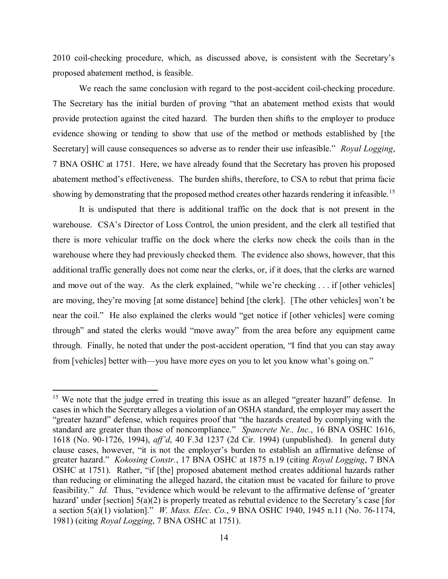2010 coil-checking procedure, which, as discussed above, is consistent with the Secretary's proposed abatement method, is feasible.

 We reach the same conclusion with regard to the post-accident coil-checking procedure. The Secretary has the initial burden of proving "that an abatement method exists that would provide protection against the cited hazard. The burden then shifts to the employer to produce evidence showing or tending to show that use of the method or methods established by [the Secretary] will cause consequences so adverse as to render their use infeasible." *Royal Logging*, 7 BNA OSHC at 1751. Here, we have already found that the Secretary has proven his proposed abatement method's effectiveness. The burden shifts, therefore, to CSA to rebut that prima facie showing by demonstrating that the proposed method creates other hazards rendering it infeasible.<sup>15</sup>

 It is undisputed that there is additional traffic on the dock that is not present in the warehouse. CSA's Director of Loss Control, the union president, and the clerk all testified that there is more vehicular traffic on the dock where the clerks now check the coils than in the warehouse where they had previously checked them. The evidence also shows, however, that this additional traffic generally does not come near the clerks, or, if it does, that the clerks are warned and move out of the way. As the clerk explained, "while we're checking . . . if [other vehicles] are moving, they're moving [at some distance] behind [the clerk]. [The other vehicles] won't be near the coil." He also explained the clerks would "get notice if [other vehicles] were coming through" and stated the clerks would "move away" from the area before any equipment came through. Finally, he noted that under the post-accident operation, "I find that you can stay away from [vehicles] better with—you have more eyes on you to let you know what's going on."

<sup>&</sup>lt;sup>15</sup> We note that the judge erred in treating this issue as an alleged "greater hazard" defense. In cases in which the Secretary alleges a violation of an OSHA standard, the employer may assert the "greater hazard" defense, which requires proof that "the hazards created by complying with the standard are greater than those of noncompliance." *Spancrete Ne., Inc.*, 16 BNA OSHC 1616, 1618 (No. 90-1726, 1994), *aff'd*, 40 F.3d 1237 (2d Cir. 1994) (unpublished). In general duty clause cases, however, "it is not the employer's burden to establish an affirmative defense of greater hazard." *Kokosing Constr.*, 17 BNA OSHC at 1875 n.19 (citing *Royal Logging*, 7 BNA OSHC at 1751). Rather, "if [the] proposed abatement method creates additional hazards rather than reducing or eliminating the alleged hazard, the citation must be vacated for failure to prove feasibility." *Id.* Thus, "evidence which would be relevant to the affirmative defense of 'greater hazard' under [section] 5(a)(2) is properly treated as rebuttal evidence to the Secretary's case [for a section 5(a)(1) violation]." *W. Mass. Elec. Co.*, 9 BNA OSHC 1940, 1945 n.11 (No. 76-1174, 1981) (citing *Royal Logging*, 7 BNA OSHC at 1751).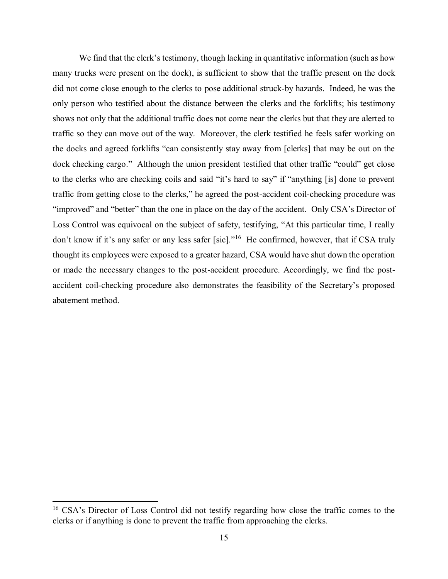We find that the clerk's testimony, though lacking in quantitative information (such as how many trucks were present on the dock), is sufficient to show that the traffic present on the dock did not come close enough to the clerks to pose additional struck-by hazards. Indeed, he was the only person who testified about the distance between the clerks and the forklifts; his testimony shows not only that the additional traffic does not come near the clerks but that they are alerted to traffic so they can move out of the way. Moreover, the clerk testified he feels safer working on the docks and agreed forklifts "can consistently stay away from [clerks] that may be out on the dock checking cargo." Although the union president testified that other traffic "could" get close to the clerks who are checking coils and said "it's hard to say" if "anything [is] done to prevent traffic from getting close to the clerks," he agreed the post-accident coil-checking procedure was "improved" and "better" than the one in place on the day of the accident. Only CSA's Director of Loss Control was equivocal on the subject of safety, testifying, "At this particular time, I really don't know if it's any safer or any less safer [sic]."<sup>16</sup> He confirmed, however, that if CSA truly thought its employees were exposed to a greater hazard, CSA would have shut down the operation or made the necessary changes to the post-accident procedure. Accordingly, we find the post- accident coil-checking procedure also demonstrates the feasibility of the Secretary's proposed abatement method.

<sup>&</sup>lt;sup>16</sup> CSA's Director of Loss Control did not testify regarding how close the traffic comes to the clerks or if anything is done to prevent the traffic from approaching the clerks.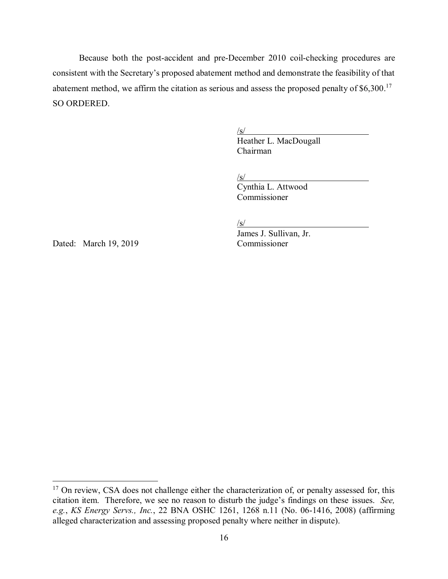Because both the post-accident and pre-December 2010 coil-checking procedures are consistent with the Secretary's proposed abatement method and demonstrate the feasibility of that abatement method, we affirm the citation as serious and assess the proposed penalty of  $$6,300$ .<sup>17</sup> SO ORDERED.

 $\sqrt{s/2}$ 

Heather L. MacDougall Chairman

 $\sqrt{s/2}$ 

Cynthia L. Attwood Commissioner

 $\sqrt{s}$ /

James J. Sullivan, Jr.

Dated: March 19, 2019 Commissioner

<sup>&</sup>lt;sup>17</sup> On review, CSA does not challenge either the characterization of, or penalty assessed for, this citation item. Therefore, we see no reason to disturb the judge's findings on these issues. *See, e.g.*, *KS Energy Servs., Inc.*, 22 BNA OSHC 1261, 1268 n.11 (No. 06-1416, 2008) (affirming alleged characterization and assessing proposed penalty where neither in dispute).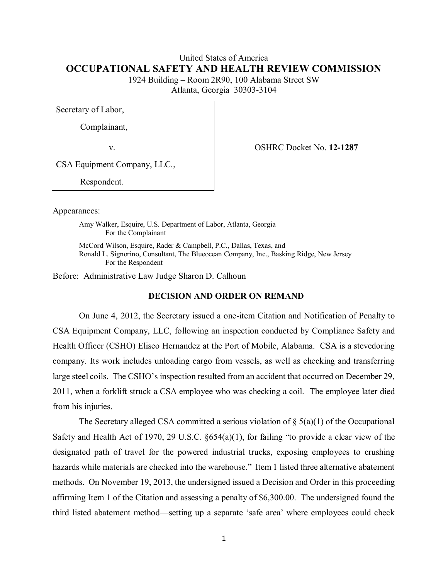# United States of America **OCCUPATIONAL SAFETY AND HEALTH REVIEW COMMISSION**

 1924 Building – Room 2R90, 100 Alabama Street SW Atlanta, Georgia 30303-3104

Secretary of Labor,

Complainant,

v. OSHRC Docket No. **12-1287** 

CSA Equipment Company, LLC.,

Respondent.

Appearances:

 Amy Walker, Esquire, U.S. Department of Labor, Atlanta, Georgia For the Complainant

 McCord Wilson, Esquire, Rader & Campbell, P.C., Dallas, Texas, and Ronald L. Signorino, Consultant, The Blueocean Company, Inc., Basking Ridge, New Jersey For the Respondent

Before: Administrative Law Judge Sharon D. Calhoun

#### **DECISION AND ORDER ON REMAND**

 On June 4, 2012, the Secretary issued a one-item Citation and Notification of Penalty to CSA Equipment Company, LLC, following an inspection conducted by Compliance Safety and Health Officer (CSHO) Eliseo Hernandez at the Port of Mobile, Alabama. CSA is a stevedoring company. Its work includes unloading cargo from vessels, as well as checking and transferring large steel coils. The CSHO's inspection resulted from an accident that occurred on December 29, 2011, when a forklift struck a CSA employee who was checking a coil. The employee later died from his injuries.

The Secretary alleged CSA committed a serious violation of  $\S$  5(a)(1) of the Occupational Safety and Health Act of 1970, 29 U.S.C. §654(a)(1), for failing "to provide a clear view of the designated path of travel for the powered industrial trucks, exposing employees to crushing hazards while materials are checked into the warehouse." Item 1 listed three alternative abatement methods. On November 19, 2013, the undersigned issued a Decision and Order in this proceeding affirming Item 1 of the Citation and assessing a penalty of \$6,300.00. The undersigned found the third listed abatement method—setting up a separate 'safe area' where employees could check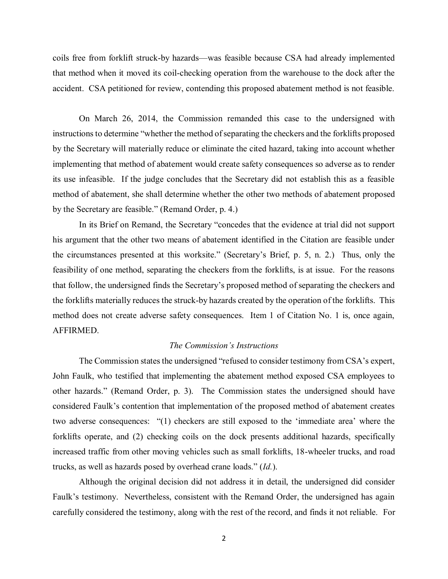coils free from forklift struck-by hazards—was feasible because CSA had already implemented that method when it moved its coil-checking operation from the warehouse to the dock after the accident. CSA petitioned for review, contending this proposed abatement method is not feasible.

 On March 26, 2014, the Commission remanded this case to the undersigned with instructions to determine "whether the method of separating the checkers and the forklifts proposed by the Secretary will materially reduce or eliminate the cited hazard, taking into account whether implementing that method of abatement would create safety consequences so adverse as to render its use infeasible. If the judge concludes that the Secretary did not establish this as a feasible method of abatement, she shall determine whether the other two methods of abatement proposed by the Secretary are feasible." (Remand Order, p. 4.)

 In its Brief on Remand, the Secretary "concedes that the evidence at trial did not support his argument that the other two means of abatement identified in the Citation are feasible under the circumstances presented at this worksite." (Secretary's Brief, p. 5, n. 2.) Thus, only the feasibility of one method, separating the checkers from the forklifts, is at issue. For the reasons that follow, the undersigned finds the Secretary's proposed method of separating the checkers and the forklifts materially reduces the struck-by hazards created by the operation of the forklifts. This method does not create adverse safety consequences. Item 1 of Citation No. 1 is, once again, AFFIRMED.

# *The Commission's Instructions*

The Commission states the undersigned "refused to consider testimony from CSA's expert, John Faulk, who testified that implementing the abatement method exposed CSA employees to other hazards." (Remand Order, p. 3). The Commission states the undersigned should have considered Faulk's contention that implementation of the proposed method of abatement creates two adverse consequences: "(1) checkers are still exposed to the 'immediate area' where the forklifts operate, and (2) checking coils on the dock presents additional hazards, specifically increased traffic from other moving vehicles such as small forklifts, 18-wheeler trucks, and road trucks, as well as hazards posed by overhead crane loads." (*Id.*).

 Although the original decision did not address it in detail, the undersigned did consider Faulk's testimony. Nevertheless, consistent with the Remand Order, the undersigned has again carefully considered the testimony, along with the rest of the record, and finds it not reliable. For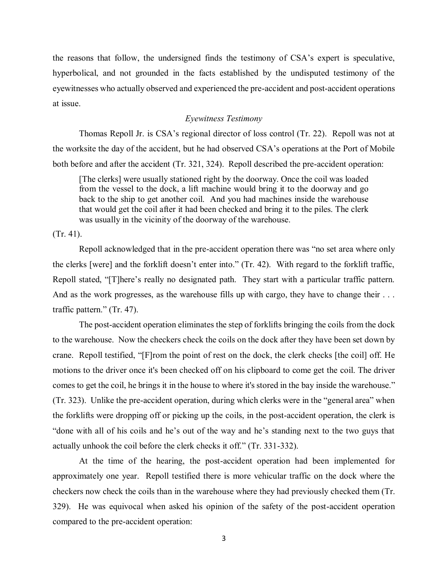the reasons that follow, the undersigned finds the testimony of CSA's expert is speculative, hyperbolical, and not grounded in the facts established by the undisputed testimony of the eyewitnesses who actually observed and experienced the pre-accident and post-accident operations at issue.

## *Eyewitness Testimony*

 Thomas Repoll Jr. is CSA's regional director of loss control (Tr. 22). Repoll was not at the worksite the day of the accident, but he had observed CSA's operations at the Port of Mobile both before and after the accident (Tr. 321, 324). Repoll described the pre-accident operation:

 [The clerks] were usually stationed right by the doorway. Once the coil was loaded from the vessel to the dock, a lift machine would bring it to the doorway and go back to the ship to get another coil. And you had machines inside the warehouse that would get the coil after it had been checked and bring it to the piles. The clerk was usually in the vicinity of the doorway of the warehouse.

(Tr. 41).

 Repoll acknowledged that in the pre-accident operation there was "no set area where only the clerks [were] and the forklift doesn't enter into." (Tr. 42). With regard to the forklift traffic, Repoll stated, "[T]here's really no designated path. They start with a particular traffic pattern. And as the work progresses, as the warehouse fills up with cargo, they have to change their ... traffic pattern." (Tr. 47).

 The post-accident operation eliminates the step of forklifts bringing the coils from the dock to the warehouse. Now the checkers check the coils on the dock after they have been set down by crane. Repoll testified, "[F]rom the point of rest on the dock, the clerk checks [the coil] off. He motions to the driver once it's been checked off on his clipboard to come get the coil. The driver comes to get the coil, he brings it in the house to where it's stored in the bay inside the warehouse." (Tr. 323). Unlike the pre-accident operation, during which clerks were in the "general area" when the forklifts were dropping off or picking up the coils, in the post-accident operation, the clerk is "done with all of his coils and he's out of the way and he's standing next to the two guys that actually unhook the coil before the clerk checks it off." (Tr. 331-332).

 At the time of the hearing, the post-accident operation had been implemented for approximately one year. Repoll testified there is more vehicular traffic on the dock where the checkers now check the coils than in the warehouse where they had previously checked them (Tr. 329). He was equivocal when asked his opinion of the safety of the post-accident operation compared to the pre-accident operation: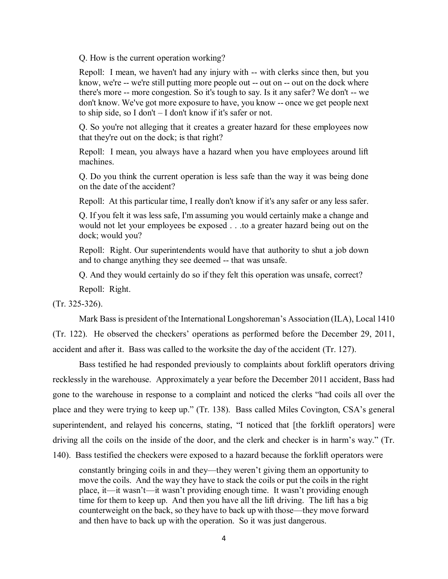Q. How is the current operation working?

 Repoll: I mean, we haven't had any injury with -- with clerks since then, but you know, we're -- we're still putting more people out -- out on -- out on the dock where there's more -- more congestion. So it's tough to say. Is it any safer? We don't -- we don't know. We've got more exposure to have, you know -- once we get people next to ship side, so I don't – I don't know if it's safer or not.

 Q. So you're not alleging that it creates a greater hazard for these employees now that they're out on the dock; is that right?

 Repoll: I mean, you always have a hazard when you have employees around lift machines.

 Q. Do you think the current operation is less safe than the way it was being done on the date of the accident?

Repoll: At this particular time, I really don't know if it's any safer or any less safer.

 Q. If you felt it was less safe, I'm assuming you would certainly make a change and would not let your employees be exposed . . .to a greater hazard being out on the dock; would you?

 Repoll: Right. Our superintendents would have that authority to shut a job down and to change anything they see deemed -- that was unsafe.

Q. And they would certainly do so if they felt this operation was unsafe, correct?

Repoll: Right.

(Tr. 325-326).

Mark Bass is president of the International Longshoreman's Association (ILA), Local 1410

 (Tr. 122). He observed the checkers' operations as performed before the December 29, 2011, accident and after it. Bass was called to the worksite the day of the accident (Tr. 127).

 Bass testified he had responded previously to complaints about forklift operators driving recklessly in the warehouse. Approximately a year before the December 2011 accident, Bass had gone to the warehouse in response to a complaint and noticed the clerks "had coils all over the place and they were trying to keep up." (Tr. 138). Bass called Miles Covington, CSA's general superintendent, and relayed his concerns, stating, "I noticed that [the forklift operators] were driving all the coils on the inside of the door, and the clerk and checker is in harm's way." (Tr. 140). Bass testified the checkers were exposed to a hazard because the forklift operators were

 constantly bringing coils in and they—they weren't giving them an opportunity to move the coils. And the way they have to stack the coils or put the coils in the right place, it—it wasn't—it wasn't providing enough time. It wasn't providing enough time for them to keep up. And then you have all the lift driving. The lift has a big counterweight on the back, so they have to back up with those—they move forward and then have to back up with the operation. So it was just dangerous.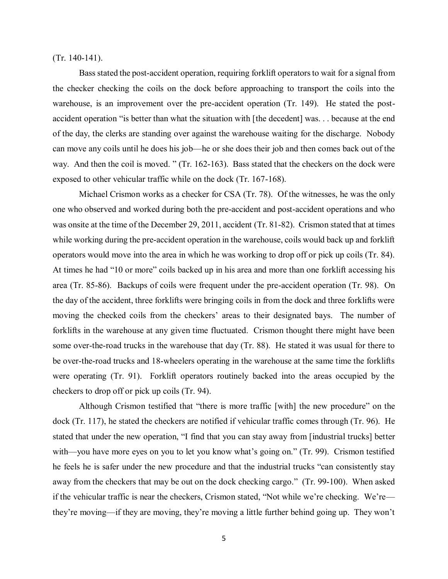$(Tr. 140-141).$ 

 (Tr. 140-141). Bass stated the post-accident operation, requiring forklift operators to wait for a signal from the checker checking the coils on the dock before approaching to transport the coils into the warehouse, is an improvement over the pre-accident operation (Tr. 149). He stated the post- accident operation "is better than what the situation with [the decedent] was. . . because at the end of the day, the clerks are standing over against the warehouse waiting for the discharge. Nobody can move any coils until he does his job—he or she does their job and then comes back out of the way. And then the coil is moved. " (Tr. 162-163). Bass stated that the checkers on the dock were exposed to other vehicular traffic while on the dock (Tr. 167-168).

 Michael Crismon works as a checker for CSA (Tr. 78). Of the witnesses, he was the only one who observed and worked during both the pre-accident and post-accident operations and who was onsite at the time of the December 29, 2011, accident (Tr. 81-82). Crismon stated that at times while working during the pre-accident operation in the warehouse, coils would back up and forklift operators would move into the area in which he was working to drop off or pick up coils (Tr. 84). At times he had "10 or more" coils backed up in his area and more than one forklift accessing his area (Tr. 85-86). Backups of coils were frequent under the pre-accident operation (Tr. 98). On the day of the accident, three forklifts were bringing coils in from the dock and three forklifts were moving the checked coils from the checkers' areas to their designated bays. The number of forklifts in the warehouse at any given time fluctuated. Crismon thought there might have been some over-the-road trucks in the warehouse that day (Tr. 88). He stated it was usual for there to be over-the-road trucks and 18-wheelers operating in the warehouse at the same time the forklifts were operating (Tr. 91). Forklift operators routinely backed into the areas occupied by the checkers to drop off or pick up coils (Tr. 94).

 Although Crismon testified that "there is more traffic [with] the new procedure" on the dock (Tr. 117), he stated the checkers are notified if vehicular traffic comes through (Tr. 96). He stated that under the new operation, "I find that you can stay away from [industrial trucks] better with—you have more eyes on you to let you know what's going on." (Tr. 99). Crismon testified he feels he is safer under the new procedure and that the industrial trucks "can consistently stay away from the checkers that may be out on the dock checking cargo." (Tr. 99-100). When asked if the vehicular traffic is near the checkers, Crismon stated, "Not while we're checking. We're— they're moving—if they are moving, they're moving a little further behind going up. They won't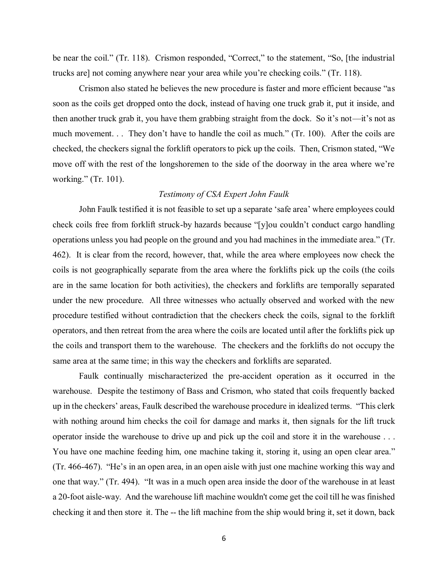be near the coil." (Tr. 118). Crismon responded, "Correct," to the statement, "So, [the industrial trucks are] not coming anywhere near your area while you're checking coils." (Tr. 118).

 Crismon also stated he believes the new procedure is faster and more efficient because "as soon as the coils get dropped onto the dock, instead of having one truck grab it, put it inside, and then another truck grab it, you have them grabbing straight from the dock. So it's not—it's not as much movement. . . They don't have to handle the coil as much." (Tr. 100). After the coils are checked, the checkers signal the forklift operatorsto pick up the coils. Then, Crismon stated, "We move off with the rest of the longshoremen to the side of the doorway in the area where we're working." (Tr. 101).

#### *Testimony of CSA Expert John Faulk*

 John Faulk testified it is not feasible to set up a separate 'safe area' where employees could check coils free from forklift struck-by hazards because "[y]ou couldn't conduct cargo handling operations unless you had people on the ground and you had machines in the immediate area." (Tr. 462). It is clear from the record, however, that, while the area where employees now check the coils is not geographically separate from the area where the forklifts pick up the coils (the coils are in the same location for both activities), the checkers and forklifts are temporally separated under the new procedure. All three witnesses who actually observed and worked with the new procedure testified without contradiction that the checkers check the coils, signal to the forklift operators, and then retreat from the area where the coils are located until after the forklifts pick up the coils and transport them to the warehouse. The checkers and the forklifts do not occupy the same area at the same time; in this way the checkers and forklifts are separated.

 Faulk continually mischaracterized the pre-accident operation as it occurred in the warehouse. Despite the testimony of Bass and Crismon, who stated that coils frequently backed up in the checkers' areas, Faulk described the warehouse procedure in idealized terms. "This clerk with nothing around him checks the coil for damage and marks it, then signals for the lift truck operator inside the warehouse to drive up and pick up the coil and store it in the warehouse . . . You have one machine feeding him, one machine taking it, storing it, using an open clear area." (Tr. 466-467). "He's in an open area, in an open aisle with just one machine working this way and one that way." (Tr. 494). "It was in a much open area inside the door of the warehouse in at least a 20-foot aisle-way. And the warehouse lift machine wouldn't come get the coil till he was finished checking it and then store it. The -- the lift machine from the ship would bring it, set it down, back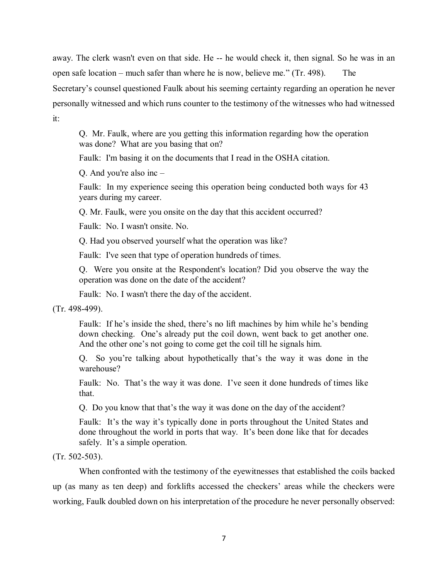away. The clerk wasn't even on that side. He -- he would check it, then signal. So he was in an open safe location – much safer than where he is now, believe me." (Tr. 498). The

 Secretary's counsel questioned Faulk about his seeming certainty regarding an operation he never personally witnessed and which runs counter to the testimony of the witnesses who had witnessed it:

 Q. Mr. Faulk, where are you getting this information regarding how the operation was done? What are you basing that on?

Faulk: I'm basing it on the documents that I read in the OSHA citation.

Q. And you're also inc –

 Faulk: In my experience seeing this operation being conducted both ways for 43 years during my career.

Q. Mr. Faulk, were you onsite on the day that this accident occurred?

Faulk: No. I wasn't onsite. No.

Q. Had you observed yourself what the operation was like?

Faulk: I've seen that type of operation hundreds of times.

 Q. Were you onsite at the Respondent's location? Did you observe the way the operation was done on the date of the accident?

Faulk: No. I wasn't there the day of the accident.

(Tr. 498-499).

 Faulk: If he's inside the shed, there's no lift machines by him while he's bending down checking. One's already put the coil down, went back to get another one. And the other one's not going to come get the coil till he signals him.

 Q. So you're talking about hypothetically that's the way it was done in the warehouse?

 Faulk: No. That's the way it was done. I've seen it done hundreds of times like that.

Q. Do you know that that's the way it was done on the day of the accident?

 Faulk: It's the way it's typically done in ports throughout the United States and done throughout the world in ports that way. It's been done like that for decades safely. It's a simple operation.

(Tr. 502-503).

 When confronted with the testimony of the eyewitnesses that established the coils backed up (as many as ten deep) and forklifts accessed the checkers' areas while the checkers were working, Faulk doubled down on his interpretation of the procedure he never personally observed: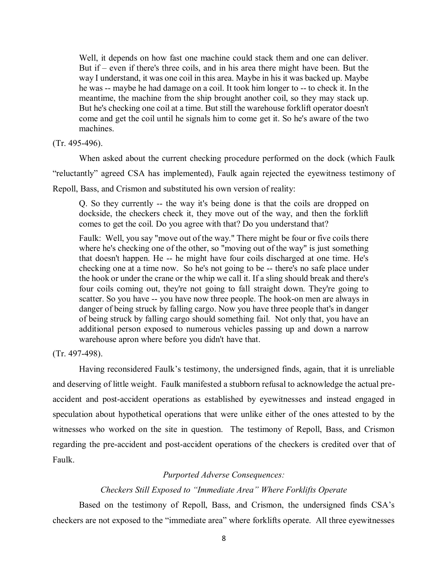Well, it depends on how fast one machine could stack them and one can deliver. But if – even if there's three coils, and in his area there might have been. But the way I understand, it was one coil in this area. Maybe in his it was backed up. Maybe he was -- maybe he had damage on a coil. It took him longer to -- to check it. In the meantime, the machine from the ship brought another coil, so they may stack up. But he's checking one coil at a time. But still the warehouse forklift operator doesn't come and get the coil until he signals him to come get it. So he's aware of the two machines.

#### $(Tr. 495-496)$ .

(Tr. 495-496). When asked about the current checking procedure performed on the dock (which Faulk

"reluctantly" agreed CSA has implemented), Faulk again rejected the eyewitness testimony of

Repoll, Bass, and Crismon and substituted his own version of reality:

 Q. So they currently -- the way it's being done is that the coils are dropped on dockside, the checkers check it, they move out of the way, and then the forklift comes to get the coil. Do you agree with that? Do you understand that?

 Faulk: Well, you say "move out of the way." There might be four or five coils there where he's checking one of the other, so "moving out of the way" is just something that doesn't happen. He -- he might have four coils discharged at one time. He's checking one at a time now. So he's not going to be -- there's no safe place under the hook or under the crane or the whip we call it. If a sling should break and there's four coils coming out, they're not going to fall straight down. They're going to scatter. So you have -- you have now three people. The hook-on men are always in danger of being struck by falling cargo. Now you have three people that's in danger of being struck by falling cargo should something fail. Not only that, you have an additional person exposed to numerous vehicles passing up and down a narrow warehouse apron where before you didn't have that.

(Tr. 497-498).

 Having reconsidered Faulk's testimony, the undersigned finds, again, that it is unreliable and deserving of little weight. Faulk manifested a stubborn refusal to acknowledge the actual pre- accident and post-accident operations as established by eyewitnesses and instead engaged in speculation about hypothetical operations that were unlike either of the ones attested to by the witnesses who worked on the site in question. The testimony of Repoll, Bass, and Crismon regarding the pre-accident and post-accident operations of the checkers is credited over that of Faulk.

# *Purported Adverse Consequences:*

## *Checkers Still Exposed to "Immediate Area" Where Forklifts Operate*

 Based on the testimony of Repoll, Bass, and Crismon, the undersigned finds CSA's checkers are not exposed to the "immediate area" where forklifts operate. All three eyewitnesses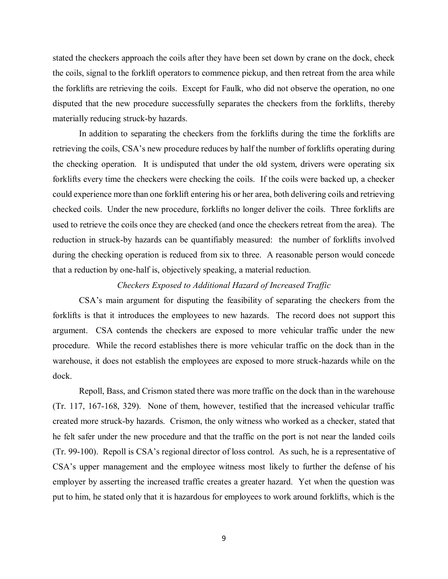stated the checkers approach the coils after they have been set down by crane on the dock, check the coils, signal to the forklift operators to commence pickup, and then retreat from the area while the forklifts are retrieving the coils. Except for Faulk, who did not observe the operation, no one disputed that the new procedure successfully separates the checkers from the forklifts, thereby materially reducing struck-by hazards. materially reducing struck-by hazards.<br>In addition to separating the checkers from the forklifts during the time the forklifts are

 retrieving the coils, CSA's new procedure reduces by half the number of forklifts operating during the checking operation. It is undisputed that under the old system, drivers were operating six forklifts every time the checkers were checking the coils. If the coils were backed up, a checker could experience more than one forklift entering his or her area, both delivering coils and retrieving checked coils. Under the new procedure, forklifts no longer deliver the coils. Three forklifts are used to retrieve the coils once they are checked (and once the checkers retreat from the area). The reduction in struck-by hazards can be quantifiably measured: the number of forklifts involved during the checking operation is reduced from six to three. A reasonable person would concede that a reduction by one-half is, objectively speaking, a material reduction.

# *Checkers Exposed to Additional Hazard of Increased Traffic*

 CSA's main argument for disputing the feasibility of separating the checkers from the forklifts is that it introduces the employees to new hazards. The record does not support this argument. CSA contends the checkers are exposed to more vehicular traffic under the new procedure. While the record establishes there is more vehicular traffic on the dock than in the warehouse, it does not establish the employees are exposed to more struck-hazards while on the dock.

 Repoll, Bass, and Crismon stated there was more traffic on the dock than in the warehouse (Tr. 117, 167-168, 329). None of them, however, testified that the increased vehicular traffic created more struck-by hazards. Crismon, the only witness who worked as a checker, stated that he felt safer under the new procedure and that the traffic on the port is not near the landed coils (Tr. 99-100). Repoll is CSA's regional director of loss control. As such, he is a representative of CSA's upper management and the employee witness most likely to further the defense of his employer by asserting the increased traffic creates a greater hazard. Yet when the question was put to him, he stated only that it is hazardous for employees to work around forklifts, which is the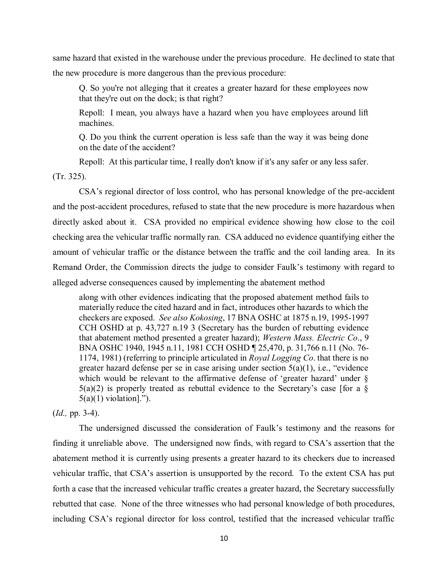same hazard that existed in the warehouse under the previous procedure. He declined to state that the new procedure is more dangerous than the previous procedure:

 Q. So you're not alleging that it creates a greater hazard for these employees now that they're out on the dock; is that right?

 Repoll: I mean, you always have a hazard when you have employees around lift machines.

 Q. Do you think the current operation is less safe than the way it was being done on the date of the accident?

 Repoll: At this particular time, I really don't know if it's any safer or any less safer. (Tr. 325).

 CSA's regional director of loss control, who has personal knowledge of the pre-accident and the post-accident procedures, refused to state that the new procedure is more hazardous when directly asked about it. CSA provided no empirical evidence showing how close to the coil checking area the vehicular traffic normally ran. CSA adduced no evidence quantifying either the amount of vehicular traffic or the distance between the traffic and the coil landing area. In its Remand Order, the Commission directs the judge to consider Faulk's testimony with regard to alleged adverse consequences caused by implementing the abatement method

 along with other evidences indicating that the proposed abatement method fails to materially reduce the cited hazard and in fact, introduces other hazards to which the checkers are exposed. *See also Kokosing*, 17 BNA OSHC at 1875 n.19, 1995-1997 CCH OSHD at p. 43,727 n.19 3 (Secretary has the burden of rebutting evidence that abatement method presented a greater hazard); *Western Mass. Electric Co*., 9 BNA OSHC 1940, 1945 n.11, 1981 CCH OSHD ¶ 25,470, p. 31,766 n.11 (No. 76- 1174, 1981) (referring to principle articulated in *Royal Logging Co*. that there is no greater hazard defense per se in case arising under section 5(a)(1), i.e., "evidence which would be relevant to the affirmative defense of 'greater hazard' under §  $5(a)(2)$  is properly treated as rebuttal evidence to the Secretary's case [for a  $\S$  $5(a)(1)$  violation].").

(*Id.,* pp. 3-4).

 The undersigned discussed the consideration of Faulk's testimony and the reasons for finding it unreliable above. The undersigned now finds, with regard to CSA's assertion that the abatement method it is currently using presents a greater hazard to its checkers due to increased vehicular traffic, that CSA's assertion is unsupported by the record. To the extent CSA has put forth a case that the increased vehicular traffic creates a greater hazard, the Secretary successfully rebutted that case. None of the three witnesses who had personal knowledge of both procedures, including CSA's regional director for loss control, testified that the increased vehicular traffic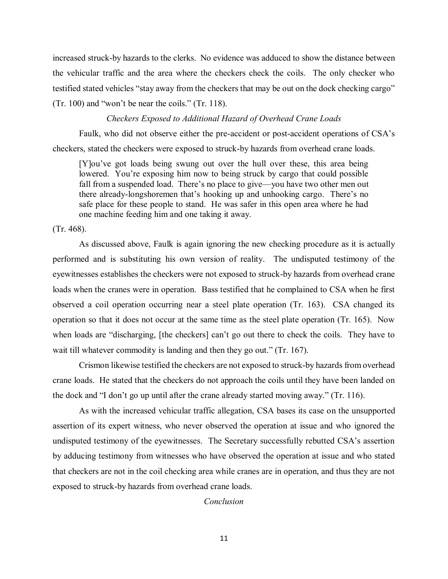increased struck-by hazards to the clerks. No evidence was adduced to show the distance between the vehicular traffic and the area where the checkers check the coils. The only checker who testified stated vehicles "stay away from the checkers that may be out on the dock checking cargo" (Tr. 100) and "won't be near the coils." (Tr. 118).

#### *Checkers Exposed to Additional Hazard of Overhead Crane Loads*

 Faulk, who did not observe either the pre-accident or post-accident operations of CSA's checkers, stated the checkers were exposed to struck-by hazards from overhead crane loads.

 [Y]ou've got loads being swung out over the hull over these, this area being lowered. You're exposing him now to being struck by cargo that could possible fall from a suspended load. There's no place to give—you have two other men out there already-longshoremen that's hooking up and unhooking cargo. There's no safe place for these people to stand. He was safer in this open area where he had one machine feeding him and one taking it away.

(Tr. 468).

 As discussed above, Faulk is again ignoring the new checking procedure as it is actually performed and is substituting his own version of reality. The undisputed testimony of the eyewitnesses establishes the checkers were not exposed to struck-by hazards from overhead crane loads when the cranes were in operation. Bass testified that he complained to CSA when he first observed a coil operation occurring near a steel plate operation (Tr. 163). CSA changed its operation so that it does not occur at the same time as the steel plate operation (Tr. 165). Now when loads are "discharging, [the checkers] can't go out there to check the coils. They have to wait till whatever commodity is landing and then they go out." (Tr. 167).

 Crismon likewise testified the checkers are not exposed to struck-by hazards from overhead crane loads. He stated that the checkers do not approach the coils until they have been landed on the dock and "I don't go up until after the crane already started moving away." (Tr. 116).

 As with the increased vehicular traffic allegation, CSA bases its case on the unsupported assertion of its expert witness, who never observed the operation at issue and who ignored the undisputed testimony of the eyewitnesses. The Secretary successfully rebutted CSA's assertion by adducing testimony from witnesses who have observed the operation at issue and who stated that checkers are not in the coil checking area while cranes are in operation, and thus they are not exposed to struck-by hazards from overhead crane loads.

#### *Conclusion*